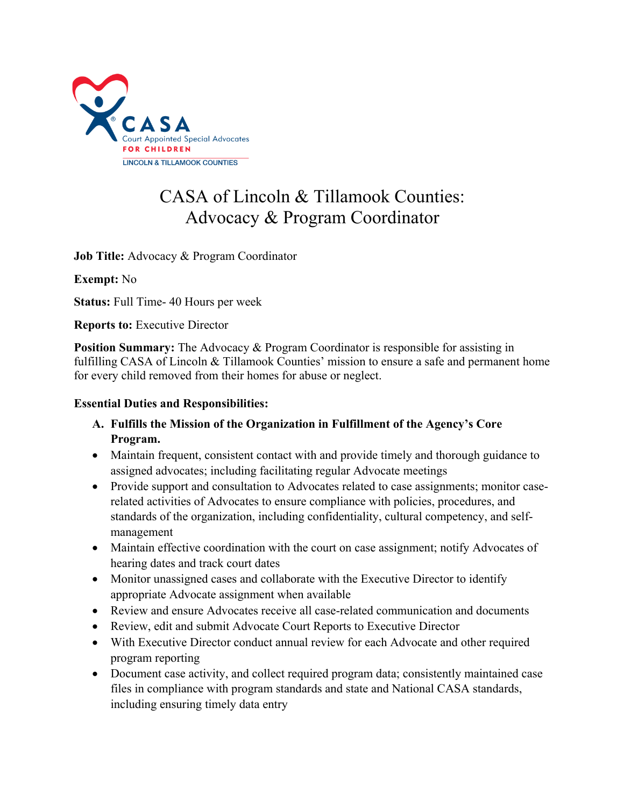

# CASA of Lincoln & Tillamook Counties: Advocacy & Program Coordinator

**Job Title:** Advocacy & Program Coordinator

**Exempt:** No

**Status:** Full Time- 40 Hours per week

**Reports to:** Executive Director

**Position Summary:** The Advocacy & Program Coordinator is responsible for assisting in fulfilling CASA of Lincoln & Tillamook Counties' mission to ensure a safe and permanent home for every child removed from their homes for abuse or neglect.

#### **Essential Duties and Responsibilities:**

- **A. Fulfills the Mission of the Organization in Fulfillment of the Agency's Core Program.**
- Maintain frequent, consistent contact with and provide timely and thorough guidance to assigned advocates; including facilitating regular Advocate meetings
- Provide support and consultation to Advocates related to case assignments; monitor caserelated activities of Advocates to ensure compliance with policies, procedures, and standards of the organization, including confidentiality, cultural competency, and selfmanagement
- Maintain effective coordination with the court on case assignment; notify Advocates of hearing dates and track court dates
- Monitor unassigned cases and collaborate with the Executive Director to identify appropriate Advocate assignment when available
- Review and ensure Advocates receive all case-related communication and documents
- Review, edit and submit Advocate Court Reports to Executive Director
- With Executive Director conduct annual review for each Advocate and other required program reporting
- Document case activity, and collect required program data; consistently maintained case files in compliance with program standards and state and National CASA standards, including ensuring timely data entry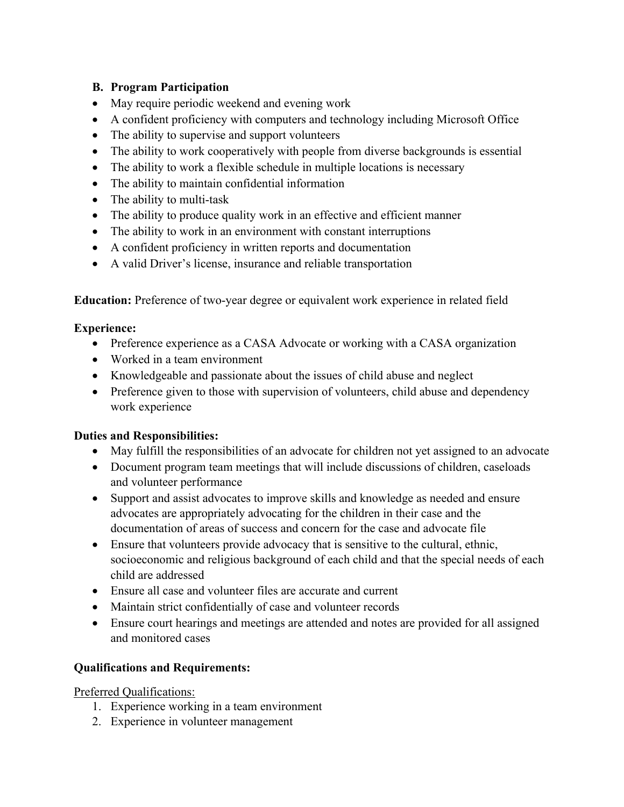## **B. Program Participation**

- May require periodic weekend and evening work
- A confident proficiency with computers and technology including Microsoft Office
- The ability to supervise and support volunteers
- The ability to work cooperatively with people from diverse backgrounds is essential
- The ability to work a flexible schedule in multiple locations is necessary
- The ability to maintain confidential information
- The ability to multi-task
- The ability to produce quality work in an effective and efficient manner
- The ability to work in an environment with constant interruptions
- A confident proficiency in written reports and documentation
- A valid Driver's license, insurance and reliable transportation

**Education:** Preference of two-year degree or equivalent work experience in related field

### **Experience:**

- Preference experience as a CASA Advocate or working with a CASA organization
- Worked in a team environment
- Knowledgeable and passionate about the issues of child abuse and neglect
- Preference given to those with supervision of volunteers, child abuse and dependency work experience

### **Duties and Responsibilities:**

- May fulfill the responsibilities of an advocate for children not yet assigned to an advocate
- Document program team meetings that will include discussions of children, caseloads and volunteer performance
- Support and assist advocates to improve skills and knowledge as needed and ensure advocates are appropriately advocating for the children in their case and the documentation of areas of success and concern for the case and advocate file
- Ensure that volunteers provide advocacy that is sensitive to the cultural, ethnic, socioeconomic and religious background of each child and that the special needs of each child are addressed
- Ensure all case and volunteer files are accurate and current
- Maintain strict confidentially of case and volunteer records
- Ensure court hearings and meetings are attended and notes are provided for all assigned and monitored cases

# **Qualifications and Requirements:**

Preferred Qualifications:

- 1. Experience working in a team environment
- 2. Experience in volunteer management